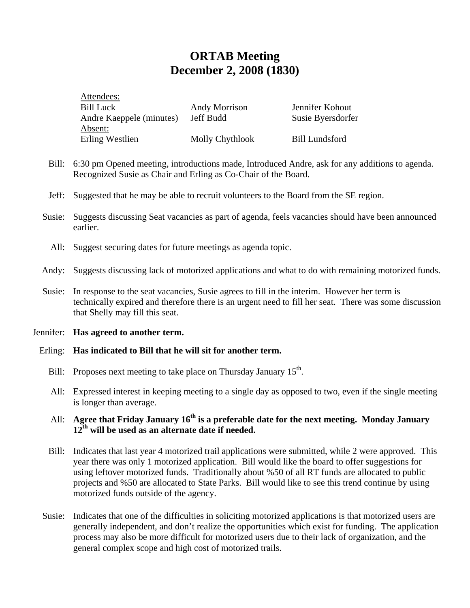# **ORTAB Meeting December 2, 2008 (1830)**

| Attendees:               |                 |                       |
|--------------------------|-----------------|-----------------------|
| <b>Bill Luck</b>         | Andy Morrison   | Jennifer Kohout       |
| Andre Kaeppele (minutes) | Jeff Budd       | Susie Byersdorfer     |
| Absent:                  |                 |                       |
| Erling Westlien          | Molly Chythlook | <b>Bill Lundsford</b> |

- Bill: 6:30 pm Opened meeting, introductions made, Introduced Andre, ask for any additions to agenda. Recognized Susie as Chair and Erling as Co-Chair of the Board.
- Jeff: Suggested that he may be able to recruit volunteers to the Board from the SE region.
- Susie: Suggests discussing Seat vacancies as part of agenda, feels vacancies should have been announced earlier.
	- All: Suggest securing dates for future meetings as agenda topic.
- Andy: Suggests discussing lack of motorized applications and what to do with remaining motorized funds.
- Susie: In response to the seat vacancies, Susie agrees to fill in the interim. However her term is technically expired and therefore there is an urgent need to fill her seat. There was some discussion that Shelly may fill this seat.
- Jennifer: **Has agreed to another term.**

#### Erling: **Has indicated to Bill that he will sit for another term.**

- Bill: Proposes next meeting to take place on Thursday January 15<sup>th</sup>.
- All: Expressed interest in keeping meeting to a single day as opposed to two, even if the single meeting is longer than average.

# All: **Agree that Friday January 16<sup>th</sup> is a preferable date for the next meeting. Monday January 12th will be used as an alternate date if needed.**

- Bill: Indicates that last year 4 motorized trail applications were submitted, while 2 were approved. This year there was only 1 motorized application. Bill would like the board to offer suggestions for using leftover motorized funds. Traditionally about %50 of all RT funds are allocated to public projects and %50 are allocated to State Parks. Bill would like to see this trend continue by using motorized funds outside of the agency.
- Susie: Indicates that one of the difficulties in soliciting motorized applications is that motorized users are generally independent, and don't realize the opportunities which exist for funding. The application process may also be more difficult for motorized users due to their lack of organization, and the general complex scope and high cost of motorized trails.